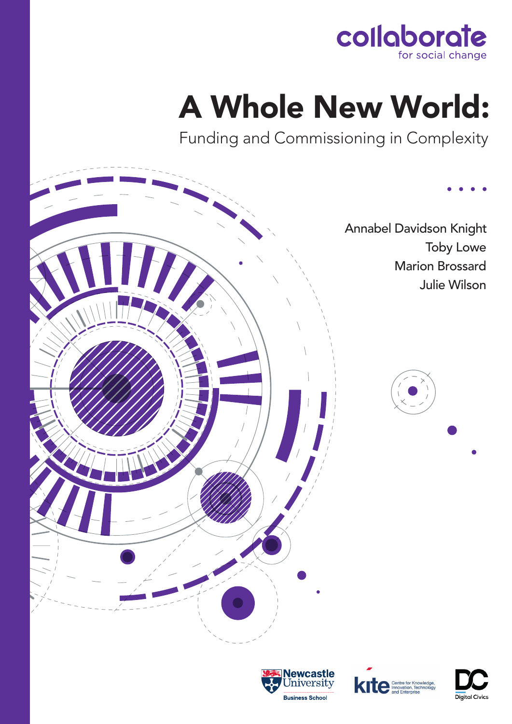

# A Whole New World:

Funding and Commissioning in Complexity

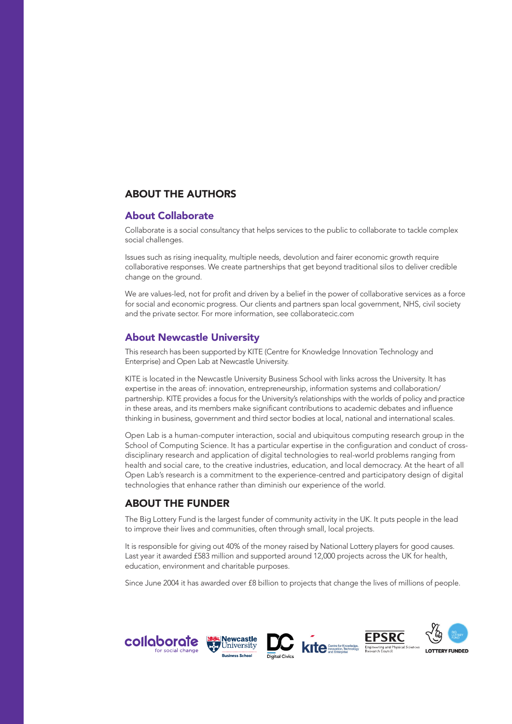## ABOUT THE AUTHORS

### About Collaborate

Collaborate is a social consultancy that helps services to the public to collaborate to tackle complex social challenges.

Issues such as rising inequality, multiple needs, devolution and fairer economic growth require collaborative responses. We create partnerships that get beyond traditional silos to deliver credible change on the ground.

We are values-led, not for profit and driven by a belief in the power of collaborative services as a force for social and economic progress. Our clients and partners span local government, NHS, civil society and the private sector. For more information, see collaboratecic.com

## About Newcastle University

This research has been supported by KITE (Centre for Knowledge Innovation Technology and Enterprise) and Open Lab at Newcastle University.

KITE is located in the Newcastle University Business School with links across the University. It has expertise in the areas of: innovation, entrepreneurship, information systems and collaboration/ partnership. KITE provides a focus for the University's relationships with the worlds of policy and practice in these areas, and its members make significant contributions to academic debates and influence thinking in business, government and third sector bodies at local, national and international scales.

Open Lab is a human-computer interaction, social and ubiquitous computing research group in the School of Computing Science. It has a particular expertise in the configuration and conduct of crossdisciplinary research and application of digital technologies to real-world problems ranging from health and social care, to the creative industries, education, and local democracy. At the heart of all Open Lab's research is a commitment to the experience-centred and participatory design of digital technologies that enhance rather than diminish our experience of the world.

## ABOUT THE FUNDER

The Big Lottery Fund is the largest funder of community activity in the UK. It puts people in the lead to improve their lives and communities, often through small, local projects.

It is responsible for giving out 40% of the money raised by National Lottery players for good causes. Last year it awarded £583 million and supported around 12,000 projects across the UK for health, education, environment and charitable purposes.

Since June 2004 it has awarded over £8 billion to projects that change the lives of millions of people.

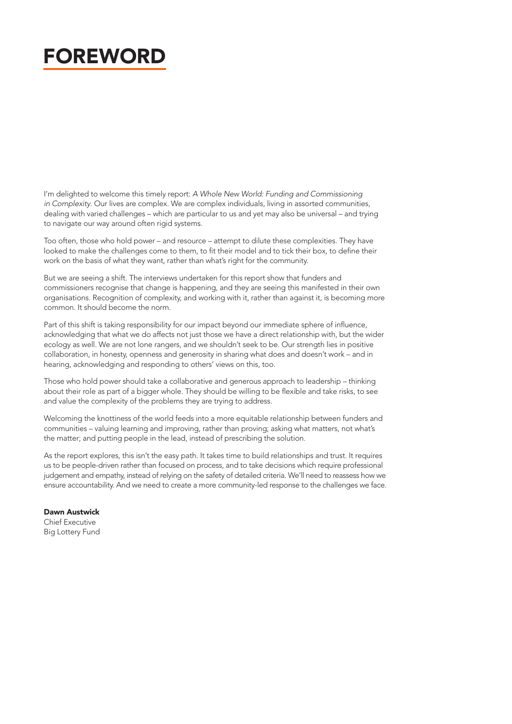## FOREWORD

I'm delighted to welcome this timely report: *A Whole New World: Funding and Commissioning in Complexity*. Our lives are complex. We are complex individuals, living in assorted communities, dealing with varied challenges – which are particular to us and yet may also be universal – and trying to navigate our way around often rigid systems.

Too often, those who hold power – and resource – attempt to dilute these complexities. They have looked to make the challenges come to them, to fit their model and to tick their box, to define their work on the basis of what they want, rather than what's right for the community.

But we are seeing a shift. The interviews undertaken for this report show that funders and commissioners recognise that change is happening, and they are seeing this manifested in their own organisations. Recognition of complexity, and working with it, rather than against it, is becoming more common. It should become the norm.

Part of this shift is taking responsibility for our impact beyond our immediate sphere of influence, acknowledging that what we do affects not just those we have a direct relationship with, but the wider ecology as well. We are not lone rangers, and we shouldn't seek to be. Our strength lies in positive collaboration, in honesty, openness and generosity in sharing what does and doesn't work – and in hearing, acknowledging and responding to others' views on this, too.

Those who hold power should take a collaborative and generous approach to leadership – thinking about their role as part of a bigger whole. They should be willing to be flexible and take risks, to see and value the complexity of the problems they are trying to address.

Welcoming the knottiness of the world feeds into a more equitable relationship between funders and communities – valuing learning and improving, rather than proving; asking what matters, not what's the matter; and putting people in the lead, instead of prescribing the solution.

As the report explores, this isn't the easy path. It takes time to build relationships and trust. It requires us to be people-driven rather than focused on process, and to take decisions which require professional judgement and empathy, instead of relying on the safety of detailed criteria. We'll need to reassess how we ensure accountability. And we need to create a more community-led response to the challenges we face.

Dawn Austwick Chief Executive Big Lottery Fund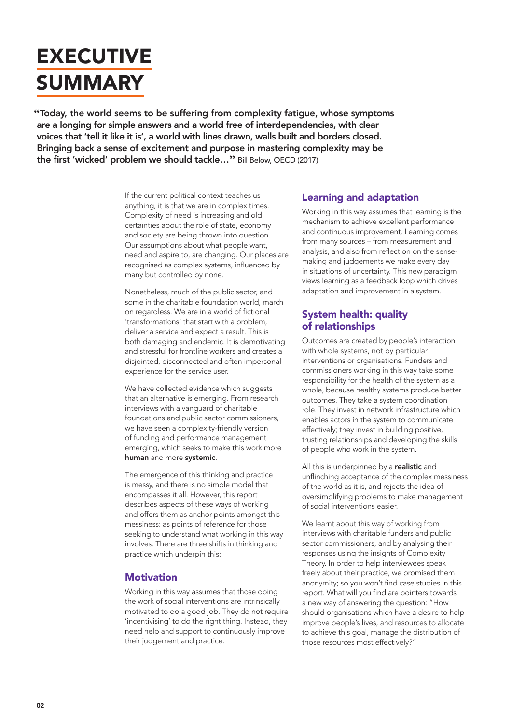## **EXECUTIVE** SUMMARY

**"**Today, the world seems to be suffering from complexity fatigue, whose symptoms are a longing for simple answers and a world free of interdependencies, with clear voices that 'tell it like it is', a world with lines drawn, walls built and borders closed. Bringing back a sense of excitement and purpose in mastering complexity may be the first 'wicked' problem we should tackle…**"** Bill Below, OECD (2017)

> If the current political context teaches us anything, it is that we are in complex times. Complexity of need is increasing and old certainties about the role of state, economy and society are being thrown into question. Our assumptions about what people want, need and aspire to, are changing. Our places are recognised as complex systems, influenced by many but controlled by none.

Nonetheless, much of the public sector, and some in the charitable foundation world, march on regardless. We are in a world of fictional 'transformations' that start with a problem, deliver a service and expect a result. This is both damaging and endemic. It is demotivating and stressful for frontline workers and creates a disjointed, disconnected and often impersonal experience for the service user.

We have collected evidence which suggests that an alternative is emerging. From research interviews with a vanguard of charitable foundations and public sector commissioners, we have seen a complexity-friendly version of funding and performance management emerging, which seeks to make this work more human and more systemic.

The emergence of this thinking and practice is messy, and there is no simple model that encompasses it all. However, this report describes aspects of these ways of working and offers them as anchor points amongst this messiness: as points of reference for those seeking to understand what working in this way involves. There are three shifts in thinking and practice which underpin this:

## **Motivation**

Working in this way assumes that those doing the work of social interventions are intrinsically motivated to do a good job. They do not require 'incentivising' to do the right thing. Instead, they need help and support to continuously improve their judgement and practice.

## Learning and adaptation

Working in this way assumes that learning is the mechanism to achieve excellent performance and continuous improvement. Learning comes from many sources – from measurement and analysis, and also from reflection on the sensemaking and judgements we make every day in situations of uncertainty. This new paradigm views learning as a feedback loop which drives adaptation and improvement in a system.

## System health: quality of relationships

Outcomes are created by people's interaction with whole systems, not by particular interventions or organisations. Funders and commissioners working in this way take some responsibility for the health of the system as a whole, because healthy systems produce better outcomes. They take a system coordination role. They invest in network infrastructure which enables actors in the system to communicate effectively; they invest in building positive, trusting relationships and developing the skills of people who work in the system.

All this is underpinned by a realistic and unflinching acceptance of the complex messiness of the world as it is, and rejects the idea of oversimplifying problems to make management of social interventions easier.

We learnt about this way of working from interviews with charitable funders and public sector commissioners, and by analysing their responses using the insights of Complexity Theory. In order to help interviewees speak freely about their practice, we promised them anonymity; so you won't find case studies in this report. What will you find are pointers towards a new way of answering the question: "How should organisations which have a desire to help improve people's lives, and resources to allocate to achieve this goal, manage the distribution of those resources most effectively?"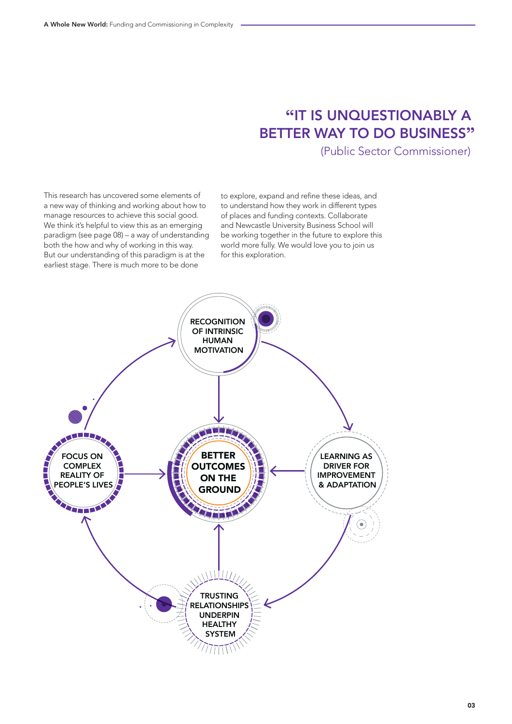## **"**IT IS UNQUESTIONABLY A BETTER WAY TO DO BUSINESS**"**

(Public Sector Commissioner)

This research has uncovered some elements of a new way of thinking and working about how to manage resources to achieve this social good. We think it's helpful to view this as an emerging paradigm (see page 08) – a way of understanding both the how and why of working in this way. But our understanding of this paradigm is at the earliest stage. There is much more to be done

to explore, expand and refine these ideas, and to understand how they work in different types of places and funding contexts. Collaborate and Newcastle University Business School will be working together in the future to explore this world more fully. We would love you to join us for this exploration.

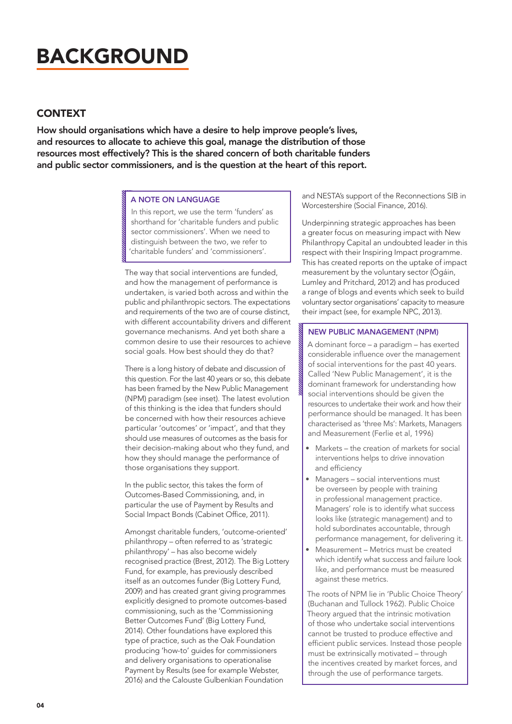## BACKGROUND

## **CONTEXT**

How should organisations which have a desire to help improve people's lives, and resources to allocate to achieve this goal, manage the distribution of those resources most effectively? This is the shared concern of both charitable funders and public sector commissioners, and is the question at the heart of this report.

#### A NOTE ON LANGUAGE

In this report, we use the term 'funders' as shorthand for 'charitable funders and public sector commissioners'. When we need to distinguish between the two, we refer to 'charitable funders' and 'commissioners'.

The way that social interventions are funded, and how the management of performance is undertaken, is varied both across and within the public and philanthropic sectors. The expectations and requirements of the two are of course distinct, with different accountability drivers and different governance mechanisms. And yet both share a common desire to use their resources to achieve social goals. How best should they do that?

There is a long history of debate and discussion of this question. For the last 40 years or so, this debate has been framed by the New Public Management (NPM) paradigm (see inset). The latest evolution of this thinking is the idea that funders should be concerned with how their resources achieve particular 'outcomes' or 'impact', and that they should use measures of outcomes as the basis for their decision-making about who they fund, and how they should manage the performance of those organisations they support.

In the public sector, this takes the form of Outcomes-Based Commissioning, and, in particular the use of Payment by Results and Social Impact Bonds (Cabinet Office, 2011).

Amongst charitable funders, 'outcome-oriented' philanthropy – often referred to as 'strategic philanthropy' – has also become widely recognised practice (Brest, 2012). The Big Lottery Fund, for example, has previously described itself as an outcomes funder (Big Lottery Fund, 2009) and has created grant giving programmes explicitly designed to promote outcomes-based commissioning, such as the 'Commissioning Better Outcomes Fund' (Big Lottery Fund, 2014). Other foundations have explored this type of practice, such as the Oak Foundation producing 'how-to' guides for commissioners and delivery organisations to operationalise Payment by Results (see for example Webster, 2016) and the Calouste Gulbenkian Foundation

and NESTA's support of the Reconnections SIB in Worcestershire (Social Finance, 2016).

Underpinning strategic approaches has been a greater focus on measuring impact with New Philanthropy Capital an undoubted leader in this respect with their Inspiring Impact programme. This has created reports on the uptake of impact measurement by the voluntary sector (Ógáin, Lumley and Pritchard, 2012) and has produced a range of blogs and events which seek to build voluntary sector organisations' capacity to measure their impact (see, for example NPC, 2013).

#### NEW PUBLIC MANAGEMENT (NPM)

A dominant force – a paradigm – has exerted considerable influence over the management of social interventions for the past 40 years. Called 'New Public Management', it is the dominant framework for understanding how social interventions should be given the resources to undertake their work and how their performance should be managed. It has been characterised as 'three Ms': Markets, Managers and Measurement (Ferlie et al, 1996)

- Markets the creation of markets for social interventions helps to drive innovation and efficiency
- Managers social interventions must be overseen by people with training in professional management practice. Managers' role is to identify what success looks like (strategic management) and to hold subordinates accountable, through performance management, for delivering it.
- Measurement Metrics must be created which identify what success and failure look like, and performance must be measured against these metrics.

The roots of NPM lie in 'Public Choice Theory' (Buchanan and Tullock 1962). Public Choice Theory argued that the intrinsic motivation of those who undertake social interventions cannot be trusted to produce effective and efficient public services. Instead those people must be extrinsically motivated – through the incentives created by market forces, and through the use of performance targets.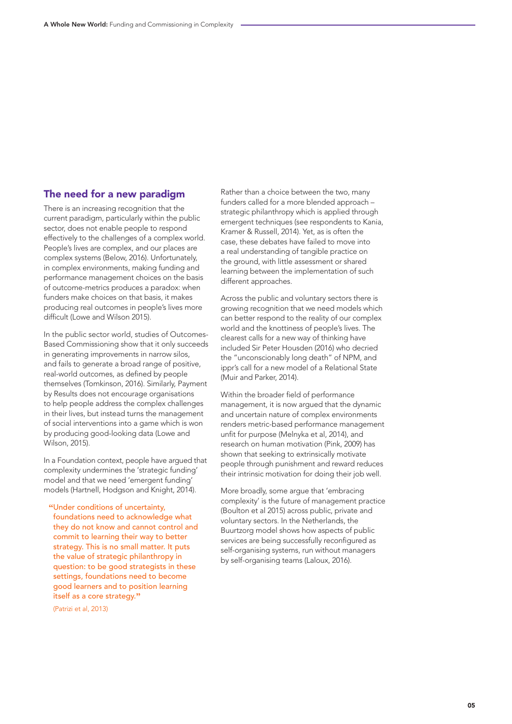## The need for a new paradigm

There is an increasing recognition that the current paradigm, particularly within the public sector, does not enable people to respond effectively to the challenges of a complex world. People's lives are complex, and our places are complex systems (Below, 2016). Unfortunately, in complex environments, making funding and performance management choices on the basis of outcome-metrics produces a paradox: when funders make choices on that basis, it makes producing real outcomes in people's lives more difficult (Lowe and Wilson 2015).

In the public sector world, studies of Outcomes-Based Commissioning show that it only succeeds in generating improvements in narrow silos, and fails to generate a broad range of positive, real-world outcomes, as defined by people themselves (Tomkinson, 2016). Similarly, Payment by Results does not encourage organisations to help people address the complex challenges in their lives, but instead turns the management of social interventions into a game which is won by producing good-looking data (Lowe and Wilson, 2015).

In a Foundation context, people have argued that complexity undermines the 'strategic funding' model and that we need 'emergent funding' models (Hartnell, Hodgson and Knight, 2014).

**"**Under conditions of uncertainty, foundations need to acknowledge what they do not know and cannot control and commit to learning their way to better strategy. This is no small matter. It puts the value of strategic philanthropy in question: to be good strategists in these settings, foundations need to become good learners and to position learning itself as a core strategy.**"**

(Patrizi et al, 2013)

Rather than a choice between the two, many funders called for a more blended approach – strategic philanthropy which is applied through emergent techniques (see respondents to Kania, Kramer & Russell, 2014). Yet, as is often the case, these debates have failed to move into a real understanding of tangible practice on the ground, with little assessment or shared learning between the implementation of such different approaches.

Across the public and voluntary sectors there is growing recognition that we need models which can better respond to the reality of our complex world and the knottiness of people's lives. The clearest calls for a new way of thinking have included Sir Peter Housden (2016) who decried the "unconscionably long death" of NPM, and ippr's call for a new model of a Relational State (Muir and Parker, 2014).

Within the broader field of performance management, it is now argued that the dynamic and uncertain nature of complex environments renders metric-based performance management unfit for purpose (Melnyka et al, 2014), and research on human motivation (Pink, 2009) has shown that seeking to extrinsically motivate people through punishment and reward reduces their intrinsic motivation for doing their job well.

More broadly, some argue that 'embracing complexity' is the future of management practice (Boulton et al 2015) across public, private and voluntary sectors. In the Netherlands, the Buurtzorg model shows how aspects of public services are being successfully reconfigured as self-organising systems, run without managers by self-organising teams (Laloux, 2016).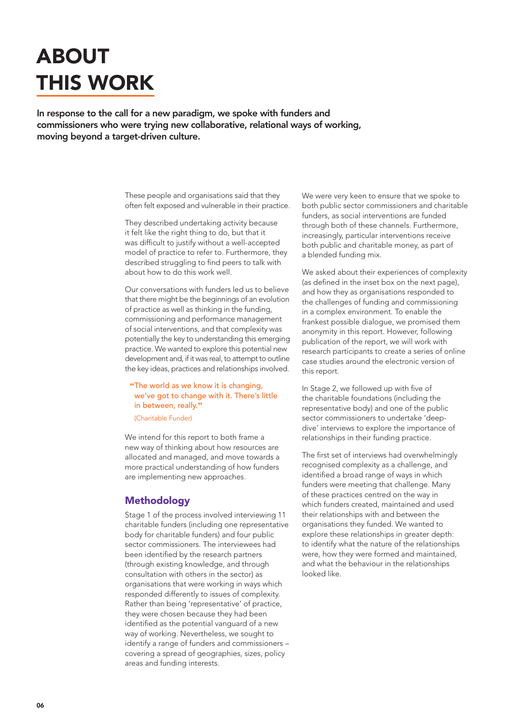## ABOUT THIS WORK

In response to the call for a new paradigm, we spoke with funders and commissioners who were trying new collaborative, relational ways of working, moving beyond a target-driven culture.

> These people and organisations said that they often felt exposed and vulnerable in their practice.

They described undertaking activity because it felt like the right thing to do, but that it was difficult to justify without a well-accepted model of practice to refer to. Furthermore, they described struggling to find peers to talk with about how to do this work well.

Our conversations with funders led us to believe that there might be the beginnings of an evolution of practice as well as thinking in the funding, commissioning and performance management of social interventions, and that complexity was potentially the key to understanding this emerging practice. We wanted to explore this potential new development and, if it was real, to attempt to outline the key ideas, practices and relationships involved.

## **"**The world as we know it is changing, we've got to change with it. There's little in between, really.**"**

(Charitable Funder)

We intend for this report to both frame a new way of thinking about how resources are allocated and managed, and move towards a more practical understanding of how funders are implementing new approaches.

## Methodology

Stage 1 of the process involved interviewing 11 charitable funders (including one representative body for charitable funders) and four public sector commissioners. The interviewees had been identified by the research partners (through existing knowledge, and through consultation with others in the sector) as organisations that were working in ways which responded differently to issues of complexity. Rather than being 'representative' of practice, they were chosen because they had been identified as the potential vanguard of a new way of working. Nevertheless, we sought to identify a range of funders and commissioners – covering a spread of geographies, sizes, policy areas and funding interests.

We were very keen to ensure that we spoke to both public sector commissioners and charitable funders, as social interventions are funded through both of these channels. Furthermore, increasingly, particular interventions receive both public and charitable money, as part of a blended funding mix.

We asked about their experiences of complexity (as defined in the inset box on the next page), and how they as organisations responded to the challenges of funding and commissioning in a complex environment. To enable the frankest possible dialogue, we promised them anonymity in this report. However, following publication of the report, we will work with research participants to create a series of online case studies around the electronic version of this report.

In Stage 2, we followed up with five of the charitable foundations (including the representative body) and one of the public sector commissioners to undertake 'deepdive' interviews to explore the importance of relationships in their funding practice.

The first set of interviews had overwhelmingly recognised complexity as a challenge, and identified a broad range of ways in which funders were meeting that challenge. Many of these practices centred on the way in which funders created, maintained and used their relationships with and between the organisations they funded. We wanted to explore these relationships in greater depth: to identify what the nature of the relationships were, how they were formed and maintained, and what the behaviour in the relationships looked like.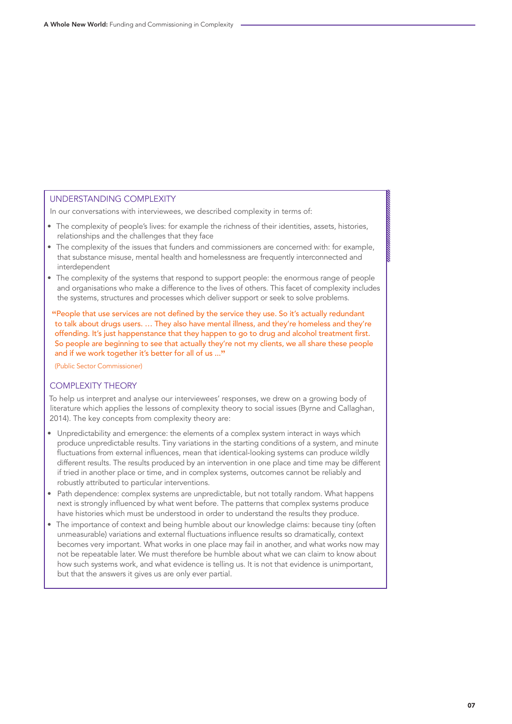### UNDERSTANDING COMPLEXITY

In our conversations with interviewees, we described complexity in terms of:

- The complexity of people's lives: for example the richness of their identities, assets, histories, relationships and the challenges that they face
- The complexity of the issues that funders and commissioners are concerned with: for example, that substance misuse, mental health and homelessness are frequently interconnected and interdependent
- The complexity of the systems that respond to support people: the enormous range of people and organisations who make a difference to the lives of others. This facet of complexity includes the systems, structures and processes which deliver support or seek to solve problems.

**"**People that use services are not defined by the service they use. So it's actually redundant to talk about drugs users. … They also have mental illness, and they're homeless and they're offending. It's just happenstance that they happen to go to drug and alcohol treatment first. So people are beginning to see that actually they're not my clients, we all share these people and if we work together it's better for all of us ...**"**

(Public Sector Commissioner)

### COMPLEXITY THEORY

To help us interpret and analyse our interviewees' responses, we drew on a growing body of literature which applies the lessons of complexity theory to social issues (Byrne and Callaghan, 2014). The key concepts from complexity theory are:

- Unpredictability and emergence: the elements of a complex system interact in ways which produce unpredictable results. Tiny variations in the starting conditions of a system, and minute fluctuations from external influences, mean that identical-looking systems can produce wildly different results. The results produced by an intervention in one place and time may be different if tried in another place or time, and in complex systems, outcomes cannot be reliably and robustly attributed to particular interventions.
- Path dependence: complex systems are unpredictable, but not totally random. What happens next is strongly influenced by what went before. The patterns that complex systems produce have histories which must be understood in order to understand the results they produce.
- The importance of context and being humble about our knowledge claims: because tiny (often unmeasurable) variations and external fluctuations influence results so dramatically, context becomes very important. What works in one place may fail in another, and what works now may not be repeatable later. We must therefore be humble about what we can claim to know about how such systems work, and what evidence is telling us. It is not that evidence is unimportant, but that the answers it gives us are only ever partial.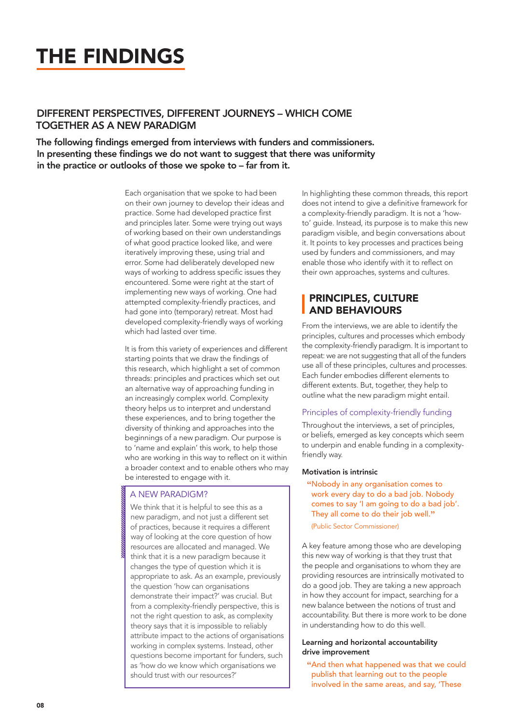## THE FINDINGS

## DIFFERENT PERSPECTIVES, DIFFERENT JOURNEYS – WHICH COME TOGETHER AS A NEW PARADIGM

The following findings emerged from interviews with funders and commissioners. In presenting these findings we do not want to suggest that there was uniformity in the practice or outlooks of those we spoke to – far from it.

> Each organisation that we spoke to had been on their own journey to develop their ideas and practice. Some had developed practice first and principles later. Some were trying out ways of working based on their own understandings of what good practice looked like, and were iteratively improving these, using trial and error. Some had deliberately developed new ways of working to address specific issues they encountered. Some were right at the start of implementing new ways of working. One had attempted complexity-friendly practices, and had gone into (temporary) retreat. Most had developed complexity-friendly ways of working which had lasted over time.

It is from this variety of experiences and different starting points that we draw the findings of this research, which highlight a set of common threads: principles and practices which set out an alternative way of approaching funding in an increasingly complex world. Complexity theory helps us to interpret and understand these experiences, and to bring together the diversity of thinking and approaches into the beginnings of a new paradigm. Our purpose is to 'name and explain' this work, to help those who are working in this way to reflect on it within a broader context and to enable others who may be interested to engage with it.

### A NEW PARADIGM?

We think that it is helpful to see this as a new paradigm, and not just a different set of practices, because it requires a different way of looking at the core question of how resources are allocated and managed. We think that it is a new paradigm because it changes the type of question which it is appropriate to ask. As an example, previously the question 'how can organisations demonstrate their impact?' was crucial. But from a complexity-friendly perspective, this is not the right question to ask, as complexity theory says that it is impossible to reliably attribute impact to the actions of organisations working in complex systems. Instead, other questions become important for funders, such as 'how do we know which organisations we should trust with our resources?'

In highlighting these common threads, this report does not intend to give a definitive framework for a complexity-friendly paradigm. It is not a 'howto' guide. Instead, its purpose is to make this new paradigm visible, and begin conversations about it. It points to key processes and practices being used by funders and commissioners, and may enable those who identify with it to reflect on their own approaches, systems and cultures.

## PRINCIPLES, CULTURE AND BEHAVIOURS

From the interviews, we are able to identify the principles, cultures and processes which embody the complexity-friendly paradigm. It is important to repeat: we are not suggesting that all of the funders use all of these principles, cultures and processes. Each funder embodies different elements to different extents. But, together, they help to outline what the new paradigm might entail.

#### Principles of complexity-friendly funding

Throughout the interviews, a set of principles, or beliefs, emerged as key concepts which seem to underpin and enable funding in a complexityfriendly way.

#### Motivation is intrinsic

**"**Nobody in any organisation comes to work every day to do a bad job. Nobody comes to say 'I am going to do a bad job'. They all come to do their job well.**"**

(Public Sector Commissioner)

A key feature among those who are developing this new way of working is that they trust that the people and organisations to whom they are providing resources are intrinsically motivated to do a good job. They are taking a new approach in how they account for impact, searching for a new balance between the notions of trust and accountability. But there is more work to be done in understanding how to do this well.

#### Learning and horizontal accountability drive improvement

**"**And then what happened was that we could publish that learning out to the people involved in the same areas, and say, 'These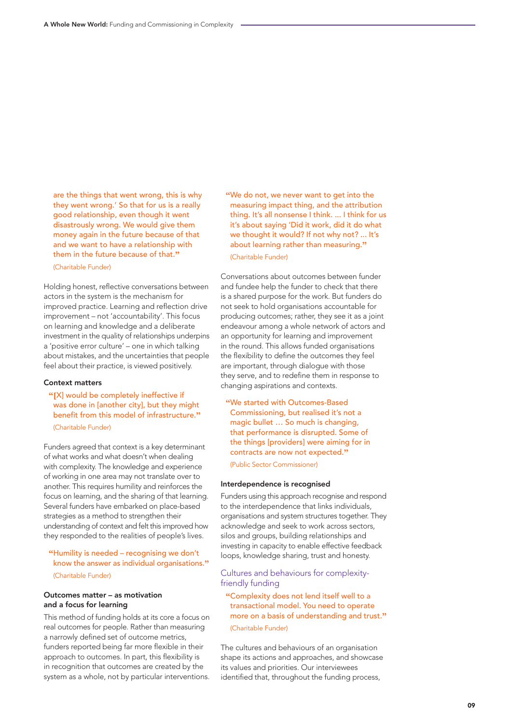are the things that went wrong, this is why they went wrong.' So that for us is a really good relationship, even though it went disastrously wrong. We would give them money again in the future because of that and we want to have a relationship with them in the future because of that. **"**

(Charitable Funder)

Holding honest, reflective conversations between actors in the system is the mechanism for improved practice. Learning and reflection drive improvement – not 'accountability'. This focus on learning and knowledge and a deliberate investment in the quality of relationships underpins a 'positive error culture' – one in which talking about mistakes, and the uncertainties that people feel about their practice, is viewed positively.

#### Context matters

**"[**X] would be completely ineffective if was done in [another city], but they might benefit from this model of infrastructure. **"** (Charitable Funder)

Funders agreed that context is a key determinant of what works and what doesn't when dealing with complexity. The knowledge and experience of working in one area may not translate over to another. This requires humility and reinforces the focus on learning, and the sharing of that learning. Several funders have embarked on place-based strategies as a method to strengthen their understanding of context and felt this improved how they responded to the realities of people's lives.

### **"**Humility is needed – recognising we don't know the answer as individual organisations. **"**

(Charitable Funder)

#### Outcomes matter – as motivation and a focus for learning

This method of funding holds at its core a focus on real outcomes for people. Rather than measuring a narrowly defined set of outcome metrics, funders reported being far more flexible in their approach to outcomes. In part, this flexibility is in recognition that outcomes are created by the system as a whole, not by particular interventions.

**"**We do not, we never want to get into the measuring impact thing, and the attribution thing. It's all nonsense I think. ... I think for us it's about saying 'Did it work, did it do what we thought it would? If not why not? ... It's about learning rather than measuring. **"** (Charitable Funder)

Conversations about outcomes between funder and fundee help the funder to check that there is a shared purpose for the work. But funders do not seek to hold organisations accountable for producing outcomes; rather, they see it as a joint endeavour among a whole network of actors and an opportunity for learning and improvement in the round. This allows funded organisations the flexibility to define the outcomes they feel are important, through dialogue with those they serve, and to redefine them in response to changing aspirations and contexts.

**"**We started with Outcomes-Based Commissioning, but realised it's not a magic bullet ... So much is changing. that performance is disrupted. Some of the things [providers] were aiming for in contracts are now not expected. **"**

(Public Sector Commissioner)

#### Interdependence is recognised

Funders using this approach recognise and respond to the interdependence that links individuals, organisations and system structures together. They acknowledge and seek to work across sectors, silos and groups, building relationships and investing in capacity to enable effective feedback loops, knowledge sharing, trust and honesty.

Cultures and behaviours for complexityfriendly funding

**"**Complexity does not lend itself well to a transactional model. You need to operate more on a basis of understanding and trust. **"** (Charitable Funder)

The cultures and behaviours of an organisation shape its actions and approaches, and showcase its values and priorities. Our interviewees identified that, throughout the funding process,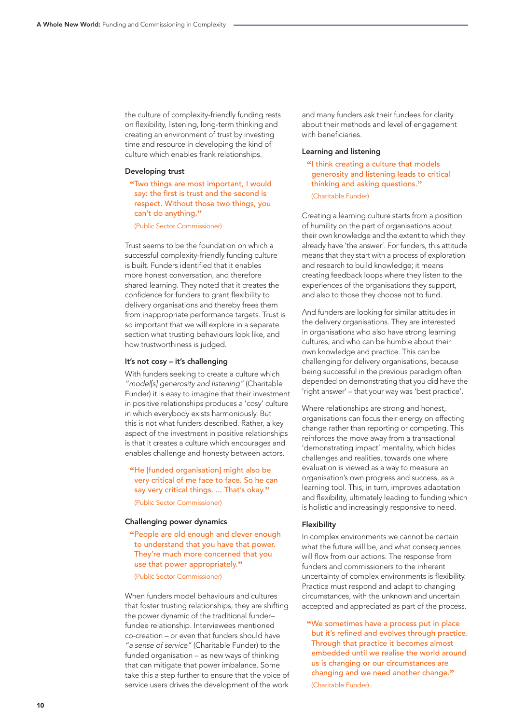the culture of complexity-friendly funding rests on flexibility, listening, long-term thinking and creating an environment of trust by investing time and resource in developing the kind of culture which enables frank relationships.

#### Developing trust

**"**Two things are most important, I would say: the first is trust and the second is respect. Without those two things, you can't do anything. **"**

(Public Sector Commissioner)

Trust seems to be the foundation on which a successful complexity-friendly funding culture is built. Funders identified that it enables more honest conversation, and therefore shared learning. They noted that it creates the confidence for funders to grant flexibility to delivery organisations and thereby frees them from inappropriate performance targets. Trust is so important that we will explore in a separate section what trusting behaviours look like, and how trustworthiness is judged.

#### It's not cosy – it's challenging

With funders seeking to create a culture which *"model[s] generosity and listening"* (Charitable Funder) it is easy to imagine that their investment in positive relationships produces a 'cosy' culture in which everybody exists harmoniously. But this is not what funders described. Rather, a key aspect of the investment in positive relationships is that it creates a culture which encourages and enables challenge and honesty between actors.

**"**He [funded organisation] might also be very critical of me face to face. So he can say very critical things. ... That's okay. **"**

(Public Sector Commissioner)

#### Challenging power dynamics

**"**People are old enough and clever enough to understand that you have that power. They're much more concerned that you use that power appropriately. **"**

(Public Sector Commissioner)

When funders model behaviours and cultures that foster trusting relationships, they are shifting the power dynamic of the traditional funder– fundee relationship. Interviewees mentioned co-creation – or even that funders should have *"a sense of service"* (Charitable Funder) to the funded organisation – as new ways of thinking that can mitigate that power imbalance. Some take this a step further to ensure that the voice of service users drives the development of the work

and many funders ask their fundees for clarity about their methods and level of engagement with beneficiaries.

#### Learning and listening

**"**I think creating a culture that models generosity and listening leads to critical thinking and asking questions. **"** (Charitable Funder)

Creating a learning culture starts from a position of humility on the part of organisations about their own knowledge and the extent to which they already have 'the answer'. For funders, this attitude means that they start with a process of exploration and research to build knowledge; it means creating feedback loops where they listen to the experiences of the organisations they support, and also to those they choose not to fund.

And funders are looking for similar attitudes in the delivery organisations. They are interested in organisations who also have strong learning cultures, and who can be humble about their own knowledge and practice. This can be challenging for delivery organisations, because being successful in the previous paradigm often depended on demonstrating that you did have the 'right answer' – that your way was 'best practice'.

Where relationships are strong and honest, organisations can focus their energy on effecting change rather than reporting or competing. This reinforces the move away from a transactional 'demonstrating impact' mentality, which hides challenges and realities, towards one where evaluation is viewed as a way to measure an organisation's own progress and success, as a learning tool. This, in turn, improves adaptation and flexibility, ultimately leading to funding which is holistic and increasingly responsive to need.

#### Flexibility

In complex environments we cannot be certain what the future will be, and what consequences will flow from our actions. The response from funders and commissioners to the inherent uncertainty of complex environments is flexibility. Practice must respond and adapt to changing circumstances, with the unknown and uncertain accepted and appreciated as part of the process.

**"**We sometimes have a process put in place but it's refined and evolves through practice. Through that practice it becomes almost embedded until we realise the world around us is changing or our circumstances are changing and we need another change. **"** (Charitable Funder)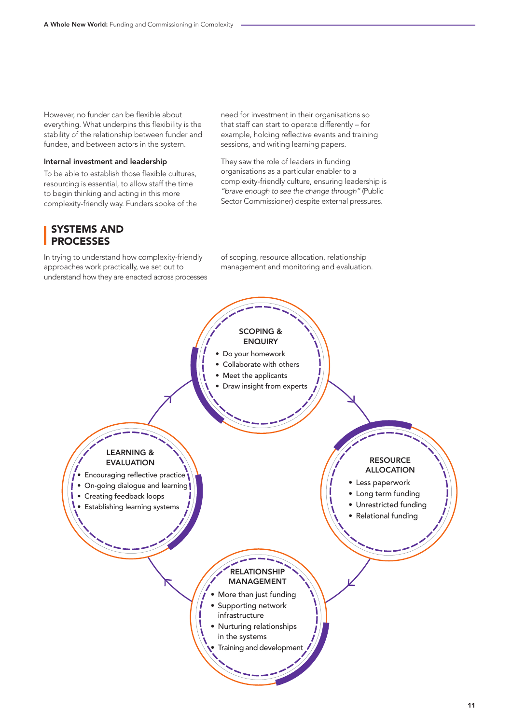However, no funder can be flexible about everything. What underpins this flexibility is the stability of the relationship between funder and fundee, and between actors in the system.

#### Internal investment and leadership

To be able to establish those flexible cultures, resourcing is essential, to allow staff the time to begin thinking and acting in this more complexity-friendly way. Funders spoke of the need for investment in their organisations so that staff can start to operate differently – for example, holding reflective events and training sessions, and writing learning papers.

They saw the role of leaders in funding organisations as a particular enabler to a complexity-friendly culture, ensuring leadership is *"brave enough to see the change through"* (Public Sector Commissioner) despite external pressures.

## SYSTEMS AND PROCESSES

In trying to understand how complexity-friendly approaches work practically, we set out to understand how they are enacted across processes of scoping, resource allocation, relationship management and monitoring and evaluation.

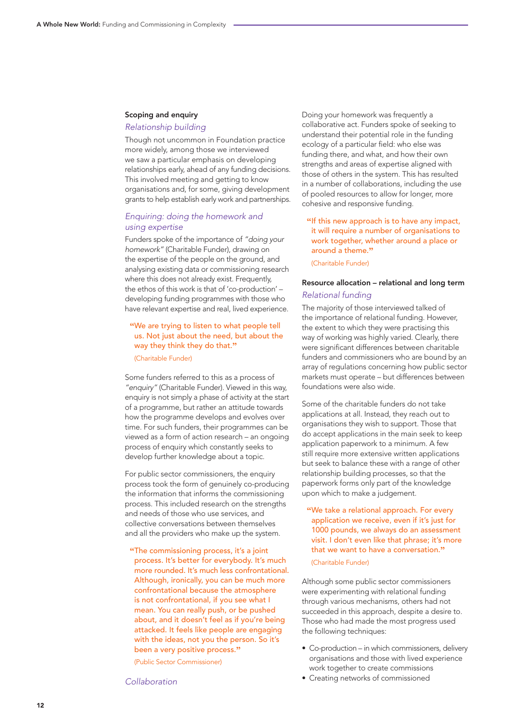#### Scoping and enquiry

#### *Relationship building*

Though not uncommon in Foundation practice more widely, among those we interviewed we saw a particular emphasis on developing relationships early, ahead of any funding decisions. This involved meeting and getting to know organisations and, for some, giving development grants to help establish early work and partnerships.

#### *Enquiring: doing the homework and using expertise*

Funders spoke of the importance of *"doing your homework"* (Charitable Funder), drawing on the expertise of the people on the ground, and analysing existing data or commissioning research where this does not already exist. Frequently, the ethos of this work is that of 'co-production' – developing funding programmes with those who have relevant expertise and real, lived experience.

## **"**We are trying to listen to what people tell us. Not just about the need, but about the way they think they do that. **"**

(Charitable Funder)

Some funders referred to this as a process of *"enquiry"* (Charitable Funder). Viewed in this way, enquiry is not simply a phase of activity at the start of a programme, but rather an attitude towards how the programme develops and evolves over time. For such funders, their programmes can be viewed as a form of action research – an ongoing process of enquiry which constantly seeks to develop further knowledge about a topic.

For public sector commissioners, the enquiry process took the form of genuinely co-producing the information that informs the commissioning process. This included research on the strengths and needs of those who use services, and collective conversations between themselves and all the providers who make up the system.

**"**The commissioning process, it's a joint process. It's better for everybody. It's much more rounded. It's much less confrontational. Although, ironically, you can be much more confrontational because the atmosphere is not confrontational, if you see what I mean. You can really push, or be pushed about, and it doesn't feel as if you're being attacked. It feels like people are engaging with the ideas, not you the person. So it's been a very positive process. **"**

(Public Sector Commissioner)

*Collaboration*

Doing your homework was frequently a collaborative act. Funders spoke of seeking to understand their potential role in the funding ecology of a particular field: who else was funding there, and what, and how their own strengths and areas of expertise aligned with those of others in the system. This has resulted in a number of collaborations, including the use of pooled resources to allow for longer, more cohesive and responsive funding.

**"**If this new approach is to have any impact, it will require a number of organisations to work together, whether around a place or around a theme. **"**

(Charitable Funder)

### Resource allocation – relational and long term *Relational funding*

The majority of those interviewed talked of the importance of relational funding. However, the extent to which they were practising this way of working was highly varied. Clearly, there were significant differences between charitable funders and commissioners who are bound by an array of regulations concerning how public sector markets must operate – but differences between foundations were also wide.

Some of the charitable funders do not take applications at all. Instead, they reach out to organisations they wish to support. Those that do accept applications in the main seek to keep application paperwork to a minimum. A few still require more extensive written applications but seek to balance these with a range of other relationship building processes, so that the paperwork forms only part of the knowledge upon which to make a judgement.

**"**We take a relational approach. For every application we receive, even if it's just for 1000 pounds, we always do an assessment visit. I don't even like that phrase; it's more that we want to have a conversation. **"**

(Charitable Funder)

Although some public sector commissioners were experimenting with relational funding through various mechanisms, others had not succeeded in this approach, despite a desire to. Those who had made the most progress used the following techniques:

- Co-production in which commissioners, delivery organisations and those with lived experience work together to create commissions
- Creating networks of commissioned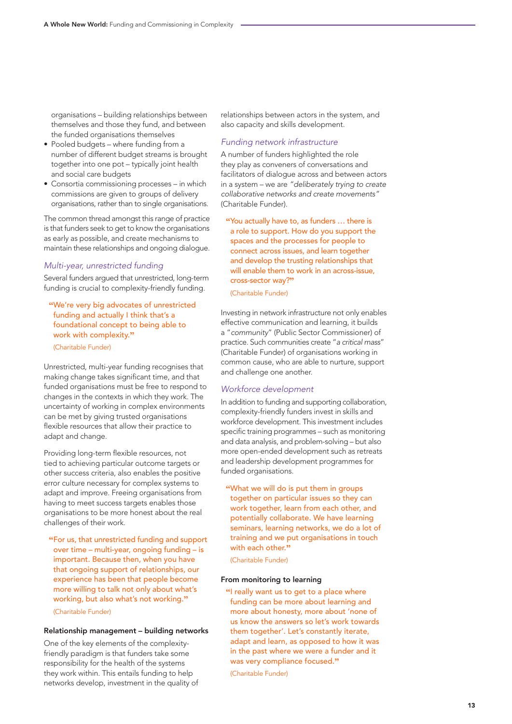organisations – building relationships between themselves and those they fund, and between the funded organisations themselves

- Pooled budgets where funding from a number of different budget streams is brought together into one pot – typically joint health and social care budgets
- Consortia commissioning processes in which commissions are given to groups of delivery organisations, rather than to single organisations.

The common thread amongst this range of practice is that funders seek to get to know the organisations as early as possible, and create mechanisms to maintain these relationships and ongoing dialogue.

#### *Multi-year, unrestricted funding*

Several funders argued that unrestricted, long-term funding is crucial to complexity-friendly funding.

- **"**We're very big advocates of unrestricted funding and actually I think that's a foundational concept to being able to work with complexity. **"**
- (Charitable Funder)

Unrestricted, multi-year funding recognises that making change takes significant time, and that funded organisations must be free to respond to changes in the contexts in which they work. The uncertainty of working in complex environments can be met by giving trusted organisations flexible resources that allow their practice to adapt and change.

Providing long-term flexible resources, not tied to achieving particular outcome targets or other success criteria, also enables the positive error culture necessary for complex systems to adapt and improve. Freeing organisations from having to meet success targets enables those organisations to be more honest about the real challenges of their work.

**"**For us, that unrestricted funding and support over time – multi-year, ongoing funding – is important. Because then, when you have that ongoing support of relationships, our experience has been that people become more willing to talk not only about what's working, but also what's not working. **"**

#### (Charitable Funder)

#### Relationship management – building networks

One of the key elements of the complexityfriendly paradigm is that funders take some responsibility for the health of the systems they work within. This entails funding to help networks develop, investment in the quality of relationships between actors in the system, and also capacity and skills development.

#### *Funding network infrastructure*

A number of funders highlighted the role they play as conveners of conversations and facilitators of dialogue across and between actors in a system – we are *"deliberately trying to create collaborative networks and create movements"* (Charitable Funder).

**"**You actually have to, as funders … there is a role to support. How do you support the spaces and the processes for people to connect across issues, and learn together and develop the trusting relationships that will enable them to work in an across-issue. cross-sector way? **"**

(Charitable Funder)

Investing in network infrastructure not only enables effective communication and learning, it builds a "*community*" (Public Sector Commissioner) of practice. Such communities create "*a critical mass*" (Charitable Funder) of organisations working in common cause, who are able to nurture, support and challenge one another.

#### *Workforce development*

In addition to funding and supporting collaboration, complexity-friendly funders invest in skills and workforce development. This investment includes specific training programmes – such as monitoring and data analysis, and problem-solving – but also more open-ended development such as retreats and leadership development programmes for funded organisations.

**"**What we will do is put them in groups together on particular issues so they can work together, learn from each other, and potentially collaborate. We have learning seminars, learning networks, we do a lot of training and we put organisations in touch with each other. **"**

(Charitable Funder)

#### From monitoring to learning

**"**I really want us to get to a place where funding can be more about learning and more about honesty, more about 'none of us know the answers so let's work towards them together'. Let's constantly iterate, adapt and learn, as opposed to how it was in the past where we were a funder and it was very compliance focused. **"**

(Charitable Funder)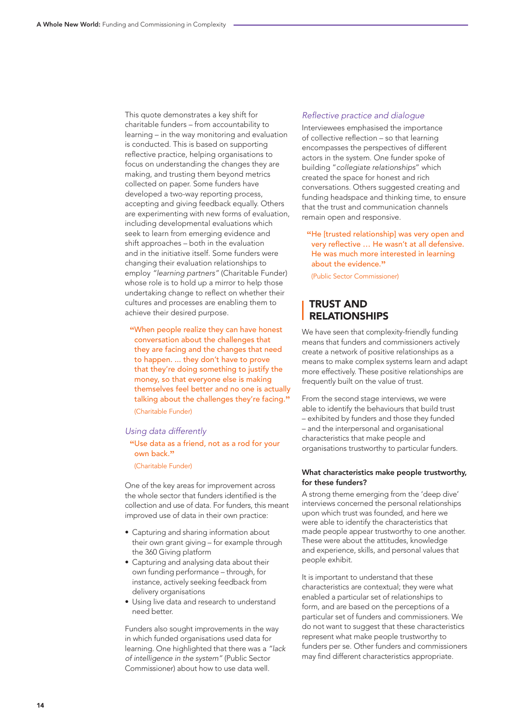This quote demonstrates a key shift for charitable funders – from accountability to learning – in the way monitoring and evaluation is conducted. This is based on supporting reflective practice, helping organisations to focus on understanding the changes they are making, and trusting them beyond metrics collected on paper. Some funders have developed a two-way reporting process, accepting and giving feedback equally. Others are experimenting with new forms of evaluation, including developmental evaluations which seek to learn from emerging evidence and shift approaches – both in the evaluation and in the initiative itself. Some funders were changing their evaluation relationships to employ *"learning partners"* (Charitable Funder) whose role is to hold up a mirror to help those undertaking change to reflect on whether their cultures and processes are enabling them to achieve their desired purpose.

**"**When people realize they can have honest conversation about the challenges that they are facing and the changes that need to happen. ... they don't have to prove that they're doing something to justify the money, so that everyone else is making themselves feel better and no one is actually talking about the challenges they're facing. **"** (Charitable Funder)

#### *Using data differently*

**"**Use data as a friend, not as a rod for your own back. **"**

(Charitable Funder)

One of the key areas for improvement across the whole sector that funders identified is the collection and use of data. For funders, this meant improved use of data in their own practice:

- Capturing and sharing information about their own grant giving – for example through the 360 Giving platform
- Capturing and analysing data about their own funding performance – through, for instance, actively seeking feedback from delivery organisations
- Using live data and research to understand need better.

Funders also sought improvements in the way in which funded organisations used data for learning. One highlighted that there was a *"lack of intelligence in the system"* (Public Sector Commissioner) about how to use data well.

#### Reflective practice and dialogue

Interviewees emphasised the importance of collective reflection – so that learning encompasses the perspectives of different actors in the system. One funder spoke of building "*collegiate relationships*" which created the space for honest and rich conversations. Others suggested creating and funding headspace and thinking time, to ensure that the trust and communication channels remain open and responsive.

**"**He [trusted relationship] was very open and very reflective … He wasn't at all defensive. He was much more interested in learning about the evidence. **"**

(Public Sector Commissioner)

## TRUST AND RELATIONSHIPS

We have seen that complexity-friendly funding means that funders and commissioners actively create a network of positive relationships as a means to make complex systems learn and adapt more effectively. These positive relationships are frequently built on the value of trust.

From the second stage interviews, we were able to identify the behaviours that build trust – exhibited by funders and those they funded – and the interpersonal and organisational characteristics that make people and organisations trustworthy to particular funders.

#### What characteristics make people trustworthy, for these funders?

A strong theme emerging from the 'deep dive' interviews concerned the personal relationships upon which trust was founded, and here we were able to identify the characteristics that made people appear trustworthy to one another. These were about the attitudes, knowledge and experience, skills, and personal values that people exhibit.

It is important to understand that these characteristics are contextual; they were what enabled a particular set of relationships to form, and are based on the perceptions of a particular set of funders and commissioners. We do not want to suggest that these characteristics represent what make people trustworthy to funders per se. Other funders and commissioners may find different characteristics appropriate.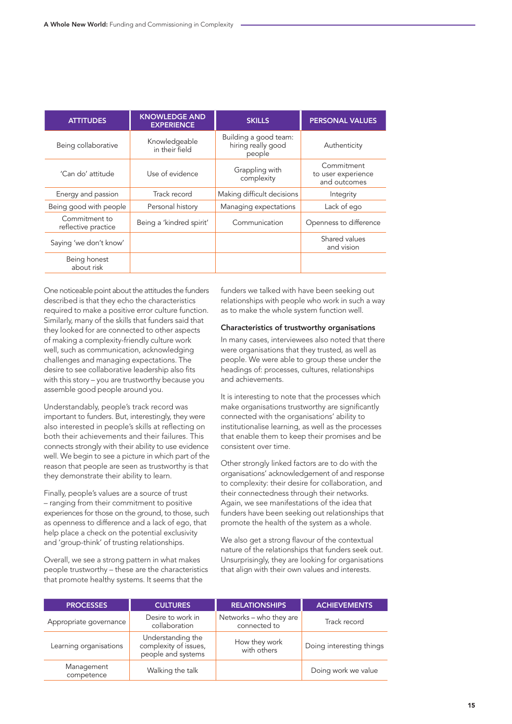| <b>ATTITUDES</b>                     | <b>KNOWLEDGE AND</b><br><b>EXPERIENCE</b> | <b>SKILLS</b>                                         | <b>PERSONAL VALUES</b>                           |
|--------------------------------------|-------------------------------------------|-------------------------------------------------------|--------------------------------------------------|
| Being collaborative                  | Knowledgeable<br>in their field           | Building a good team:<br>hiring really good<br>people | Authenticity                                     |
| 'Can do' attitude                    | Use of evidence                           | Grappling with<br>complexity                          | Commitment<br>to user experience<br>and outcomes |
| Energy and passion                   | Track record                              | Making difficult decisions                            | Integrity                                        |
| Being good with people               | Personal history                          | Managing expectations                                 | Lack of ego                                      |
| Commitment to<br>reflective practice | Being a 'kindred spirit'                  | Communication                                         | Openness to difference                           |
| Saying 'we don't know'               |                                           |                                                       | Shared values<br>and vision                      |
| Being honest<br>about risk           |                                           |                                                       |                                                  |

One noticeable point about the attitudes the funders described is that they echo the characteristics required to make a positive error culture function. Similarly, many of the skills that funders said that they looked for are connected to other aspects of making a complexity-friendly culture work well, such as communication, acknowledging challenges and managing expectations. The desire to see collaborative leadership also fits with this story – you are trustworthy because you assemble good people around you.

Understandably, people's track record was important to funders. But, interestingly, they were also interested in people's skills at reflecting on both their achievements and their failures. This connects strongly with their ability to use evidence well. We begin to see a picture in which part of the reason that people are seen as trustworthy is that they demonstrate their ability to learn.

Finally, people's values are a source of trust – ranging from their commitment to positive experiences for those on the ground, to those, such as openness to difference and a lack of ego, that help place a check on the potential exclusivity and 'group-think' of trusting relationships.

Overall, we see a strong pattern in what makes people trustworthy – these are the characteristics that promote healthy systems. It seems that the

funders we talked with have been seeking out relationships with people who work in such a way as to make the whole system function well.

#### Characteristics of trustworthy organisations

In many cases, interviewees also noted that there were organisations that they trusted, as well as people. We were able to group these under the headings of: processes, cultures, relationships and achievements.

It is interesting to note that the processes which make organisations trustworthy are significantly connected with the organisations' ability to institutionalise learning, as well as the processes that enable them to keep their promises and be consistent over time.

Other strongly linked factors are to do with the organisations' acknowledgement of and response to complexity: their desire for collaboration, and their connectedness through their networks. Again, we see manifestations of the idea that funders have been seeking out relationships that promote the health of the system as a whole.

We also get a strong flavour of the contextual nature of the relationships that funders seek out. Unsurprisingly, they are looking for organisations that align with their own values and interests.

| <b>PROCESSES</b>         | <b>CULTURES</b>                                                  | <b>RELATIONSHIPS</b>                    | <b>ACHIEVEMENTS</b>      |
|--------------------------|------------------------------------------------------------------|-----------------------------------------|--------------------------|
| Appropriate governance   | Desire to work in<br>collaboration                               | Networks - who they are<br>connected to | Track record             |
| Learning organisations   | Understanding the<br>complexity of issues,<br>people and systems | How they work<br>with others            | Doing interesting things |
| Management<br>competence | Walking the talk                                                 |                                         | Doing work we value      |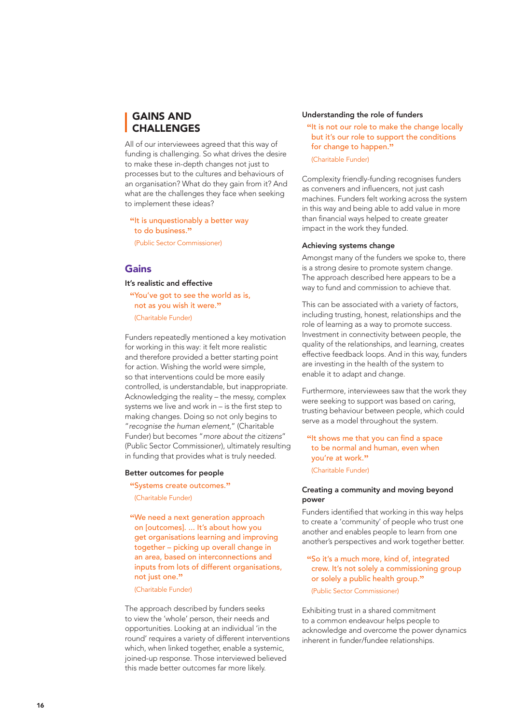## GAINS AND **CHALLENGES**

All of our interviewees agreed that this way of funding is challenging. So what drives the desire to make these in-depth changes not just to processes but to the cultures and behaviours of an organisation? What do they gain from it? And what are the challenges they face when seeking to implement these ideas?

**"**It is unquestionably a better way to do business. **"**

(Public Sector Commissioner)

## Gains

#### It's realistic and effective

**"**You've got to see the world as is, not as you wish it were. **"** (Charitable Funder)

Funders repeatedly mentioned a key motivation for working in this way: it felt more realistic and therefore provided a better starting point for action. Wishing the world were simple, so that interventions could be more easily controlled, is understandable, but inappropriate. Acknowledging the reality – the messy, complex systems we live and work in – is the first step to making changes. Doing so not only begins to "*recognise the human element,*" (Charitable Funder) but becomes "*more about the citizens*" (Public Sector Commissioner), ultimately resulting in funding that provides what is truly needed.

#### Better outcomes for people

**"**Systems create outcomes. **"**

(Charitable Funder)

**"**We need a next generation approach on [outcomes]. ... It's about how you get organisations learning and improving together – picking up overall change in an area, based on interconnections and inputs from lots of different organisations, not just one. **"**

(Charitable Funder)

The approach described by funders seeks to view the 'whole' person, their needs and opportunities. Looking at an individual 'in the round' requires a variety of different interventions which, when linked together, enable a systemic, joined-up response. Those interviewed believed this made better outcomes far more likely.

#### Understanding the role of funders

**"**It is not our role to make the change locally but it's our role to support the conditions for change to happen. **"**

(Charitable Funder)

Complexity friendly-funding recognises funders as conveners and influencers, not just cash machines. Funders felt working across the system in this way and being able to add value in more than financial ways helped to create greater impact in the work they funded.

#### Achieving systems change

Amongst many of the funders we spoke to, there is a strong desire to promote system change. The approach described here appears to be a way to fund and commission to achieve that.

This can be associated with a variety of factors, including trusting, honest, relationships and the role of learning as a way to promote success. Investment in connectivity between people, the quality of the relationships, and learning, creates effective feedback loops. And in this way, funders are investing in the health of the system to enable it to adapt and change.

Furthermore, interviewees saw that the work they were seeking to support was based on caring, trusting behaviour between people, which could serve as a model throughout the system.

**"**It shows me that you can find a space to be normal and human, even when you're at work. **"**

(Charitable Funder)

#### Creating a community and moving beyond power

Funders identified that working in this way helps to create a 'community' of people who trust one another and enables people to learn from one another's perspectives and work together better.

**"**So it's a much more, kind of, integrated crew. It's not solely a commissioning group or solely a public health group. **"**

(Public Sector Commissioner)

Exhibiting trust in a shared commitment to a common endeavour helps people to acknowledge and overcome the power dynamics inherent in funder/fundee relationships.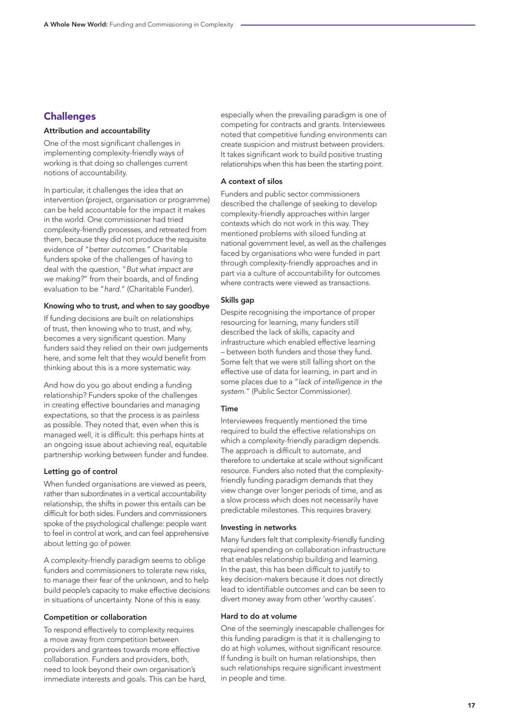## **Challenges**

#### Attribution and accountability

One of the most significant challenges in implementing complexity-friendly ways of working is that doing so challenges current notions of accountability.

In particular, it challenges the idea that an intervention (project, organisation or programme) can be held accountable for the impact it makes in the world. One commissioner had tried complexity-friendly processes, and retreated from them, because they did not produce the requisite evidence of "*better outcomes.*" Charitable funders spoke of the challenges of having to deal with the question, "*But what impact are we making?*" from their boards, and of finding evaluation to be "*hard.*" (Charitable Funder).

#### Knowing who to trust, and when to say goodbye

If funding decisions are built on relationships of trust, then knowing who to trust, and why, becomes a very significant question. Many funders said they relied on their own judgements here, and some felt that they would benefit from thinking about this is a more systematic way.

And how do you go about ending a funding relationship? Funders spoke of the challenges in creating effective boundaries and managing expectations, so that the process is as painless as possible. They noted that, even when this is managed well, it is difficult: this perhaps hints at an ongoing issue about achieving real, equitable partnership working between funder and fundee.

#### Letting go of control

When funded organisations are viewed as peers, rather than subordinates in a vertical accountability relationship, the shifts in power this entails can be difficult for both sides. Funders and commissioners spoke of the psychological challenge: people want to feel in control at work, and can feel apprehensive about letting go of power.

A complexity-friendly paradigm seems to oblige funders and commissioners to tolerate new risks, to manage their fear of the unknown, and to help build people's capacity to make effective decisions in situations of uncertainty. None of this is easy.

#### Competition or collaboration

To respond effectively to complexity requires a move away from competition between providers and grantees towards more effective collaboration. Funders and providers, both, need to look beyond their own organisation's immediate interests and goals. This can be hard, especially when the prevailing paradigm is one of competing for contracts and grants. Interviewees noted that competitive funding environments can create suspicion and mistrust between providers. It takes significant work to build positive trusting relationships when this has been the starting point.

#### A context of silos

Funders and public sector commissioners described the challenge of seeking to develop complexity-friendly approaches within larger contexts which do not work in this way. They mentioned problems with siloed funding at national government level, as well as the challenges faced by organisations who were funded in part through complexity-friendly approaches and in part via a culture of accountability for outcomes where contracts were viewed as transactions.

#### Skills gap

Despite recognising the importance of proper resourcing for learning, many funders still described the lack of skills, capacity and infrastructure which enabled effective learning – between both funders and those they fund. Some felt that we were still falling short on the effective use of data for learning, in part and in some places due to a "*lack of intelligence in the system.*" (Public Sector Commissioner).

#### Time

Interviewees frequently mentioned the time required to build the effective relationships on which a complexity-friendly paradigm depends. The approach is difficult to automate, and therefore to undertake at scale without significant resource. Funders also noted that the complexityfriendly funding paradigm demands that they view change over longer periods of time, and as a slow process which does not necessarily have predictable milestones. This requires bravery.

#### Investing in networks

Many funders felt that complexity-friendly funding required spending on collaboration infrastructure that enables relationship building and learning. In the past, this has been difficult to justify to key decision-makers because it does not directly lead to identifiable outcomes and can be seen to divert money away from other 'worthy causes'.

#### Hard to do at volume

One of the seemingly inescapable challenges for this funding paradigm is that it is challenging to do at high volumes, without significant resource. If funding is built on human relationships, then such relationships require significant investment in people and time.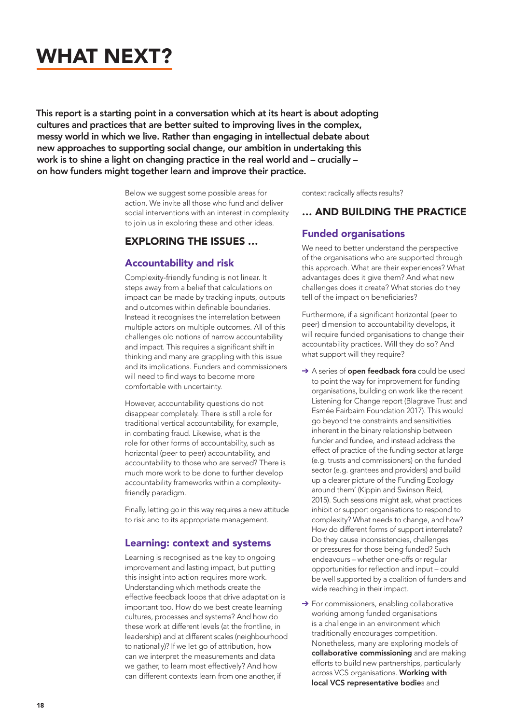## WHAT NEXT?

This report is a starting point in a conversation which at its heart is about adopting cultures and practices that are better suited to improving lives in the complex, messy world in which we live. Rather than engaging in intellectual debate about new approaches to supporting social change, our ambition in undertaking this work is to shine a light on changing practice in the real world and – crucially – on how funders might together learn and improve their practice.

> Below we suggest some possible areas for action. We invite all those who fund and deliver social interventions with an interest in complexity to join us in exploring these and other ideas.

## EXPLORING THE ISSUES …

## Accountability and risk

Complexity-friendly funding is not linear. It steps away from a belief that calculations on impact can be made by tracking inputs, outputs and outcomes within definable boundaries. Instead it recognises the interrelation between multiple actors on multiple outcomes. All of this challenges old notions of narrow accountability and impact. This requires a significant shift in thinking and many are grappling with this issue and its implications. Funders and commissioners will need to find ways to become more comfortable with uncertainty.

However, accountability questions do not disappear completely. There is still a role for traditional vertical accountability, for example, in combating fraud. Likewise, what is the role for other forms of accountability, such as horizontal (peer to peer) accountability, and accountability to those who are served? There is much more work to be done to further develop accountability frameworks within a complexityfriendly paradigm.

Finally, letting go in this way requires a new attitude to risk and to its appropriate management.

## Learning: context and systems

Learning is recognised as the key to ongoing improvement and lasting impact, but putting this insight into action requires more work. Understanding which methods create the effective feedback loops that drive adaptation is important too. How do we best create learning cultures, processes and systems? And how do these work at different levels (at the frontline, in leadership) and at different scales (neighbourhood to nationally)? If we let go of attribution, how can we interpret the measurements and data we gather, to learn most effectively? And how can different contexts learn from one another, if

context radically affects results?

## … AND BUILDING THE PRACTICE

### Funded organisations

We need to better understand the perspective of the organisations who are supported through this approach. What are their experiences? What advantages does it give them? And what new challenges does it create? What stories do they tell of the impact on beneficiaries?

Furthermore, if a significant horizontal (peer to peer) dimension to accountability develops, it will require funded organisations to change their accountability practices. Will they do so? And what support will they require?

- → A series of open feedback fora could be used to point the way for improvement for funding organisations, building on work like the recent Listening for Change report (Blagrave Trust and Esmée Fairbairn Foundation 2017). This would go beyond the constraints and sensitivities inherent in the binary relationship between funder and fundee, and instead address the effect of practice of the funding sector at large (e.g. trusts and commissioners) on the funded sector (e.g. grantees and providers) and build up a clearer picture of the Funding Ecology around them' (Kippin and Swinson Reid, 2015). Such sessions might ask, what practices inhibit or support organisations to respond to complexity? What needs to change, and how? How do different forms of support interrelate? Do they cause inconsistencies, challenges or pressures for those being funded? Such endeavours – whether one-offs or regular opportunities for reflection and input – could be well supported by a coalition of funders and wide reaching in their impact.
- → For commissioners, enabling collaborative working among funded organisations is a challenge in an environment which traditionally encourages competition. Nonetheless, many are exploring models of collaborative commissioning and are making efforts to build new partnerships, particularly across VCS organisations. Working with local VCS representative bodies and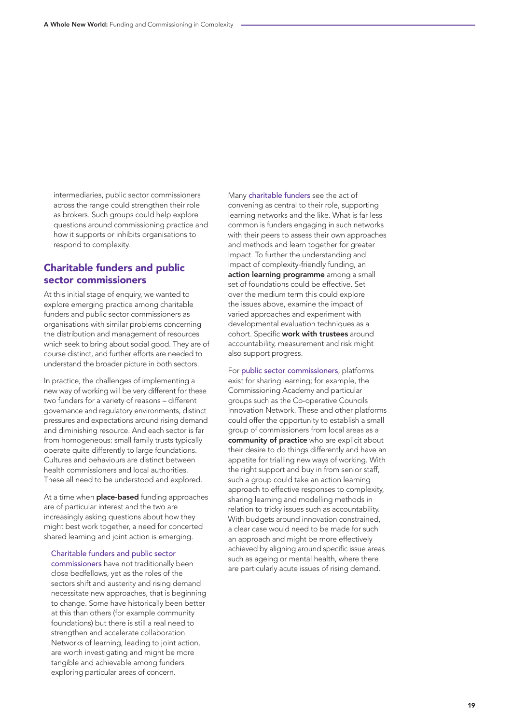intermediaries, public sector commissioners across the range could strengthen their role as brokers. Such groups could help explore questions around commissioning practice and how it supports or inhibits organisations to respond to complexity.

## Charitable funders and public sector commissioners

At this initial stage of enquiry, we wanted to explore emerging practice among charitable funders and public sector commissioners as organisations with similar problems concerning the distribution and management of resources which seek to bring about social good. They are of course distinct, and further efforts are needed to understand the broader picture in both sectors.

In practice, the challenges of implementing a new way of working will be very different for these two funders for a variety of reasons – different governance and regulatory environments, distinct pressures and expectations around rising demand and diminishing resource. And each sector is far from homogeneous: small family trusts typically operate quite differently to large foundations. Cultures and behaviours are distinct between health commissioners and local authorities. These all need to be understood and explored.

At a time when **place-based** funding approaches are of particular interest and the two are increasingly asking questions about how they might best work together, a need for concerted shared learning and joint action is emerging.

Charitable funders and public sector commissioners have not traditionally been close bedfellows, yet as the roles of the sectors shift and austerity and rising demand necessitate new approaches, that is beginning to change. Some have historically been better at this than others (for example community foundations) but there is still a real need to strengthen and accelerate collaboration. Networks of learning, leading to joint action, are worth investigating and might be more tangible and achievable among funders exploring particular areas of concern.

Many charitable funders see the act of convening as central to their role, supporting learning networks and the like. What is far less common is funders engaging in such networks with their peers to assess their own approaches and methods and learn together for greater impact. To further the understanding and impact of complexity-friendly funding, an action learning programme among a small set of foundations could be effective. Set over the medium term this could explore the issues above, examine the impact of varied approaches and experiment with developmental evaluation techniques as a cohort. Specific work with trustees around accountability, measurement and risk might also support progress.

For public sector commissioners, platforms exist for sharing learning; for example, the Commissioning Academy and particular groups such as the Co-operative Councils Innovation Network. These and other platforms could offer the opportunity to establish a small group of commissioners from local areas as a community of practice who are explicit about their desire to do things differently and have an appetite for trialling new ways of working. With the right support and buy in from senior staff, such a group could take an action learning approach to effective responses to complexity, sharing learning and modelling methods in relation to tricky issues such as accountability. With budgets around innovation constrained, a clear case would need to be made for such an approach and might be more effectively achieved by aligning around specific issue areas such as ageing or mental health, where there are particularly acute issues of rising demand.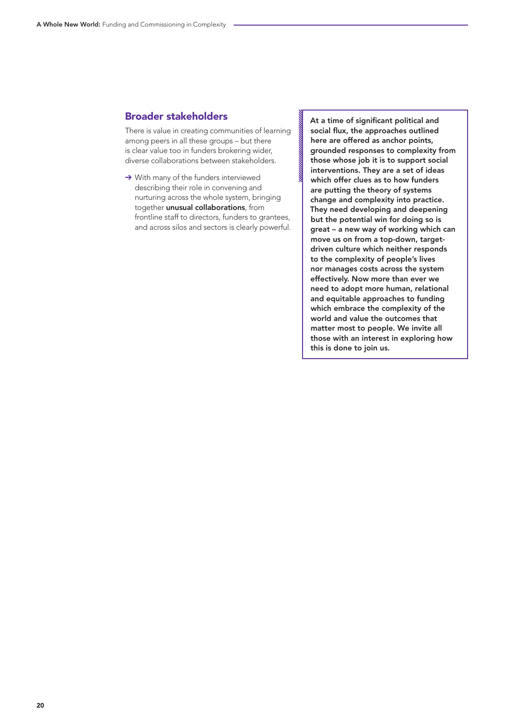## Broader stakeholders

There is value in creating communities of learning among peers in all these groups – but there is clear value too in funders brokering wider, diverse collaborations between stakeholders.

➔ With many of the funders interviewed describing their role in convening and nurturing across the whole system, bringing together unusual collaborations, from frontline staff to directors, funders to grantees, and across silos and sectors is clearly powerful. At a time of significant political and social flux, the approaches outlined here are offered as anchor points, grounded responses to complexity from those whose job it is to support social interventions. They are a set of ideas which offer clues as to how funders are putting the theory of systems change and complexity into practice. They need developing and deepening but the potential win for doing so is great – a new way of working which can move us on from a top-down, targetdriven culture which neither responds to the complexity of people's lives nor manages costs across the system effectively. Now more than ever we need to adopt more human, relational and equitable approaches to funding which embrace the complexity of the world and value the outcomes that matter most to people. We invite all those with an interest in exploring how this is done to join us.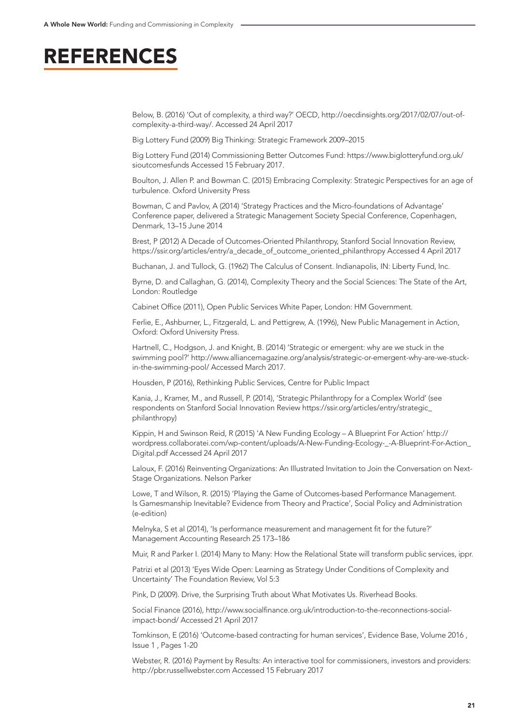## REFERENCES

Below, B. (2016) 'Out of complexity, a third way?' OECD, http://oecdinsights.org/2017/02/07/out-ofcomplexity-a-third-way/. Accessed 24 April 2017

Big Lottery Fund (2009) Big Thinking: Strategic Framework 2009–2015

Big Lottery Fund (2014) Commissioning Better Outcomes Fund: https://www.biglotteryfund.org.uk/ sioutcomesfunds Accessed 15 February 2017.

Boulton, J. Allen P. and Bowman C. (2015) Embracing Complexity: Strategic Perspectives for an age of turbulence. Oxford University Press

Bowman, C and Pavlov, A (2014) 'Strategy Practices and the Micro-foundations of Advantage' Conference paper, delivered a Strategic Management Society Special Conference, Copenhagen, Denmark, 13–15 June 2014

Brest, P (2012) A Decade of Outcomes-Oriented Philanthropy, Stanford Social Innovation Review, https://ssir.org/articles/entry/a\_decade\_of\_outcome\_oriented\_philanthropy Accessed 4 April 2017

Buchanan, J. and Tullock, G. (1962) The Calculus of Consent. Indianapolis, IN: Liberty Fund, Inc.

Byrne, D. and Callaghan, G. (2014), Complexity Theory and the Social Sciences: The State of the Art, London: Routledge

Cabinet Office (2011), Open Public Services White Paper, London: HM Government.

Ferlie, E., Ashburner, L., Fitzgerald, L. and Pettigrew, A. (1996), New Public Management in Action, Oxford: Oxford University Press.

Hartnell, C., Hodgson, J. and Knight, B. (2014) 'Strategic or emergent: why are we stuck in the swimming pool?' http://www.alliancemagazine.org/analysis/strategic-or-emergent-why-are-we-stuckin-the-swimming-pool/ Accessed March 2017.

Housden, P (2016), Rethinking Public Services, Centre for Public Impact

Kania, J., Kramer, M., and Russell, P. (2014), 'Strategic Philanthropy for a Complex World' (see respondents on Stanford Social Innovation Review https://ssir.org/articles/entry/strategic\_ philanthropy)

Kippin, H and Swinson Reid, R (2015) 'A New Funding Ecology – A Blueprint For Action' http:// wordpress.collaboratei.com/wp-content/uploads/A-New-Funding-Ecology-\_-A-Blueprint-For-Action\_ Digital.pdf Accessed 24 April 2017

Laloux, F. (2016) Reinventing Organizations: An Illustrated Invitation to Join the Conversation on Next-Stage Organizations. Nelson Parker

Lowe, T and Wilson, R. (2015) 'Playing the Game of Outcomes-based Performance Management. Is Gamesmanship Inevitable? Evidence from Theory and Practice', Social Policy and Administration (e-edition)

Melnyka, S et al (2014), 'Is performance measurement and management fit for the future?' Management Accounting Research 25 173–186

Muir, R and Parker I. (2014) Many to Many: How the Relational State will transform public services, ippr.

Patrizi et al (2013) 'Eyes Wide Open: Learning as Strategy Under Conditions of Complexity and Uncertainty' The Foundation Review, Vol 5:3

Pink, D (2009). Drive, the Surprising Truth about What Motivates Us. Riverhead Books.

Social Finance (2016), http://www.socialfinance.org.uk/introduction-to-the-reconnections-socialimpact-bond/ Accessed 21 April 2017

Tomkinson, E (2016) 'Outcome-based contracting for human services', Evidence Base, Volume 2016 , Issue 1 , Pages 1-20

Webster, R. (2016) Payment by Results: An interactive tool for commissioners, investors and providers: http://pbr.russellwebster.com Accessed 15 February 2017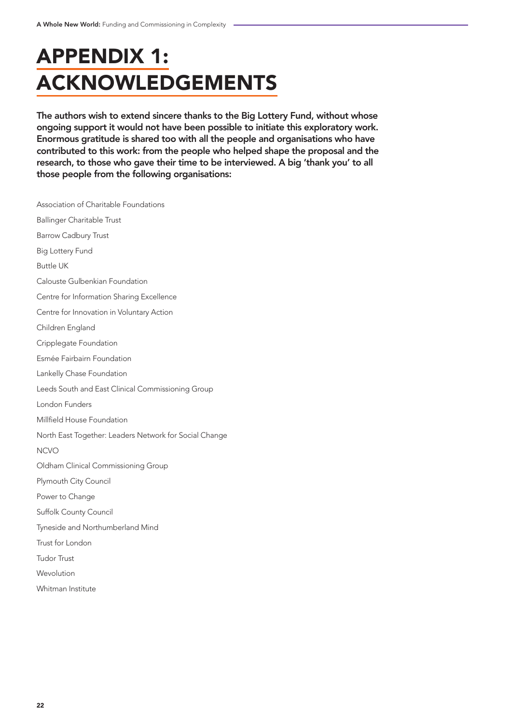## APPENDIX 1: ACKNOWLEDGEMENTS

The authors wish to extend sincere thanks to the Big Lottery Fund, without whose ongoing support it would not have been possible to initiate this exploratory work. Enormous gratitude is shared too with all the people and organisations who have contributed to this work: from the people who helped shape the proposal and the research, to those who gave their time to be interviewed. A big 'thank you' to all those people from the following organisations:

Association of Charitable Foundations Ballinger Charitable Trust Barrow Cadbury Trust Big Lottery Fund Buttle UK Calouste Gulbenkian Foundation Centre for Information Sharing Excellence Centre for Innovation in Voluntary Action Children England Cripplegate Foundation Esmée Fairbairn Foundation Lankelly Chase Foundation Leeds South and East Clinical Commissioning Group London Funders Millfield House Foundation North East Together: Leaders Network for Social Change NCVO Oldham Clinical Commissioning Group Plymouth City Council Power to Change Suffolk County Council Tyneside and Northumberland Mind Trust for London Tudor Trust Wevolution Whitman Institute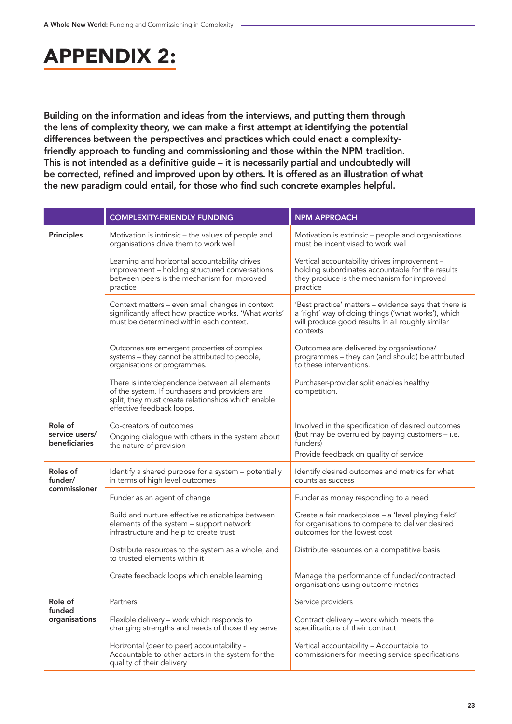## APPENDIX 2:

Building on the information and ideas from the interviews, and putting them through the lens of complexity theory, we can make a first attempt at identifying the potential differences between the perspectives and practices which could enact a complexityfriendly approach to funding and commissioning and those within the NPM tradition. This is not intended as a definitive guide – it is necessarily partial and undoubtedly will be corrected, refined and improved upon by others. It is offered as an illustration of what the new paradigm could entail, for those who find such concrete examples helpful.

|                                                   | <b>COMPLEXITY-FRIENDLY FUNDING</b>                                                                                                                                                 | <b>NPM APPROACH</b>                                                                                                                                                          |
|---------------------------------------------------|------------------------------------------------------------------------------------------------------------------------------------------------------------------------------------|------------------------------------------------------------------------------------------------------------------------------------------------------------------------------|
| <b>Principles</b>                                 | Motivation is intrinsic – the values of people and<br>organisations drive them to work well                                                                                        | Motivation is extrinsic - people and organisations<br>must be incentivised to work well                                                                                      |
|                                                   | Learning and horizontal accountability drives<br>improvement - holding structured conversations<br>between peers is the mechanism for improved<br>practice                         | Vertical accountability drives improvement -<br>holding subordinates accountable for the results<br>they produce is the mechanism for improved<br>practice                   |
|                                                   | Context matters - even small changes in context<br>significantly affect how practice works. 'What works'<br>must be determined within each context.                                | 'Best practice' matters - evidence says that there is<br>a 'right' way of doing things ('what works'), which<br>will produce good results in all roughly similar<br>contexts |
|                                                   | Outcomes are emergent properties of complex<br>systems - they cannot be attributed to people,<br>organisations or programmes.                                                      | Outcomes are delivered by organisations/<br>programmes - they can (and should) be attributed<br>to these interventions.                                                      |
|                                                   | There is interdependence between all elements<br>of the system. If purchasers and providers are<br>split, they must create relationships which enable<br>effective feedback loops. | Purchaser-provider split enables healthy<br>competition.                                                                                                                     |
| Role of<br>service users/<br><b>beneficiaries</b> | Co-creators of outcomes<br>Ongoing dialogue with others in the system about<br>the nature of provision                                                                             | Involved in the specification of desired outcomes<br>(but may be overruled by paying customers - i.e.<br>funders)<br>Provide feedback on quality of service                  |
| Roles of<br>funder/<br>commissioner               | Identify a shared purpose for a system - potentially<br>in terms of high level outcomes                                                                                            | Identify desired outcomes and metrics for what<br>counts as success                                                                                                          |
|                                                   | Funder as an agent of change                                                                                                                                                       | Funder as money responding to a need                                                                                                                                         |
|                                                   | Build and nurture effective relationships between<br>elements of the system - support network<br>infrastructure and help to create trust                                           | Create a fair marketplace - a 'level playing field'<br>for organisations to compete to deliver desired<br>outcomes for the lowest cost                                       |
|                                                   | Distribute resources to the system as a whole, and<br>to trusted elements within it                                                                                                | Distribute resources on a competitive basis                                                                                                                                  |
|                                                   | Create feedback loops which enable learning                                                                                                                                        | Manage the performance of funded/contracted<br>organisations using outcome metrics                                                                                           |
| Role of<br>funded<br>organisations                | Partners                                                                                                                                                                           | Service providers                                                                                                                                                            |
|                                                   | Flexible delivery - work which responds to<br>changing strengths and needs of those they serve                                                                                     | Contract delivery - work which meets the<br>specifications of their contract                                                                                                 |
|                                                   | Horizontal (peer to peer) accountability -<br>Accountable to other actors in the system for the<br>quality of their delivery                                                       | Vertical accountability - Accountable to<br>commissioners for meeting service specifications                                                                                 |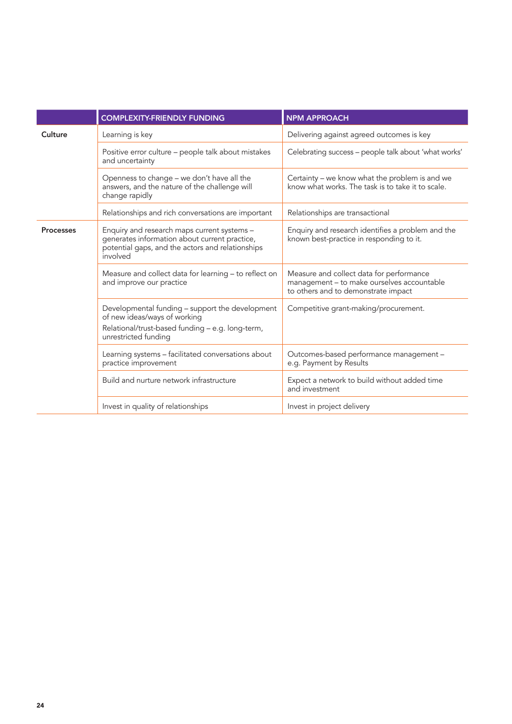|                  | <b>COMPLEXITY-FRIENDLY FUNDING</b>                                                                                                                           | <b>NPM APPROACH</b>                                                                                                           |
|------------------|--------------------------------------------------------------------------------------------------------------------------------------------------------------|-------------------------------------------------------------------------------------------------------------------------------|
| Culture          | Learning is key                                                                                                                                              | Delivering against agreed outcomes is key                                                                                     |
|                  | Positive error culture - people talk about mistakes<br>and uncertainty                                                                                       | Celebrating success - people talk about 'what works'                                                                          |
|                  | Openness to change - we don't have all the<br>answers, and the nature of the challenge will<br>change rapidly                                                | Certainty – we know what the problem is and we<br>know what works. The task is to take it to scale.                           |
|                  | Relationships and rich conversations are important                                                                                                           | Relationships are transactional                                                                                               |
| <b>Processes</b> | Enquiry and research maps current systems -<br>generates information about current practice,<br>potential gaps, and the actors and relationships<br>involved | Enquiry and research identifies a problem and the<br>known best-practice in responding to it.                                 |
|                  | Measure and collect data for learning - to reflect on<br>and improve our practice                                                                            | Measure and collect data for performance<br>management - to make ourselves accountable<br>to others and to demonstrate impact |
|                  | Developmental funding - support the development<br>of new ideas/ways of working<br>Relational/trust-based funding - e.g. long-term,<br>unrestricted funding  | Competitive grant-making/procurement.                                                                                         |
|                  | Learning systems - facilitated conversations about<br>practice improvement                                                                                   | Outcomes-based performance management -<br>e.g. Payment by Results                                                            |
|                  | Build and nurture network infrastructure                                                                                                                     | Expect a network to build without added time<br>and investment                                                                |
|                  | Invest in quality of relationships                                                                                                                           | Invest in project delivery                                                                                                    |